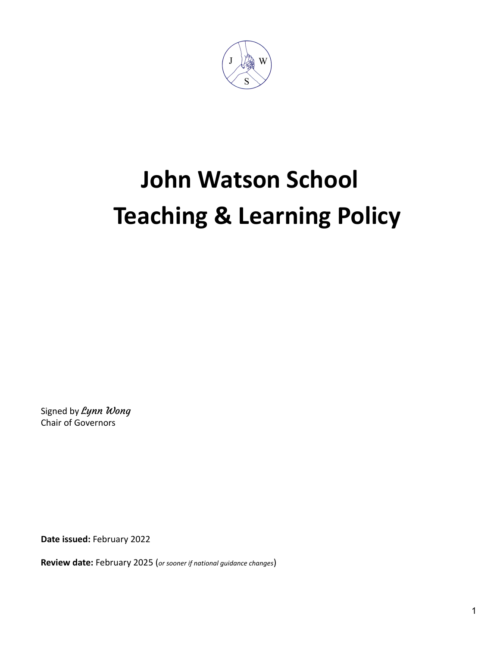

# **John Watson School Teaching & Learning Policy**

Signed by Lynn Wong Chair of Governors

**Date issued:** February 2022

**Review date:** February 2025 (*or sooner if national guidance changes*)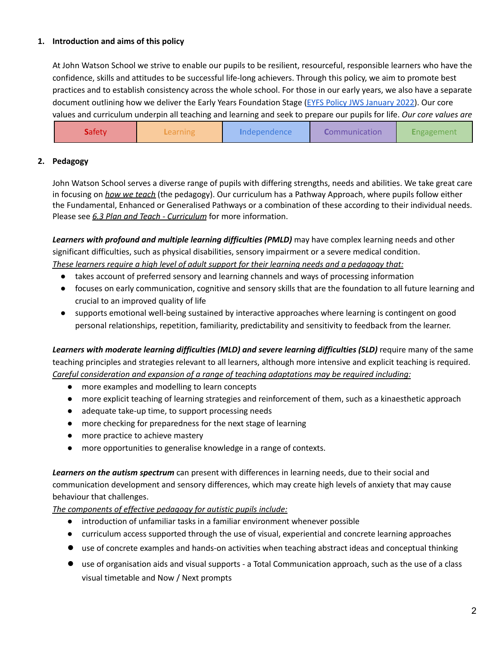# **1. Introduction and aims of this policy**

At John Watson School we strive to enable our pupils to be resilient, resourceful, responsible learners who have the confidence, skills and attitudes to be successful life-long achievers. Through this policy, we aim to promote best practices and to establish consistency across the whole school. For those in our early years, we also have a separate document outlining how we deliver the Early Years Foundation Stage (EYFS Policy JWS [January](https://docs.google.com/document/d/1EH-Ktjrv5QhrxxNEoIJlgtuOdh5ghq3SANmToSCfMhI/edit) 2022). Our core values and curriculum underpin all teaching and learning and seek to prepare our pupils for life. *Our core values are*

| <b>S</b> afety | <b>Learning</b> | Independence | Communication | Engagement |
|----------------|-----------------|--------------|---------------|------------|
|                |                 |              |               |            |

# **2. Pedagogy**

John Watson School serves a diverse range of pupils with differing strengths, needs and abilities. We take great care in focusing on *how we teach* (the pedagogy). Our curriculum has a Pathway Approach, where pupils follow either the Fundamental, Enhanced or Generalised Pathways or a combination of these according to their individual needs. Please see *6.3 Plan and Teach - Curriculum* for more information.

*Learners with profound and multiple learning difficulties (PMLD)* may have complex learning needs and other significant difficulties, such as physical disabilities, sensory impairment or a severe medical condition. *These learners require a high level of adult support for their learning needs and a pedagogy that:*

- takes account of preferred sensory and learning channels and ways of processing information
- focuses on early communication, cognitive and sensory skills that are the foundation to all future learning and crucial to an improved quality of life
- supports emotional well-being sustained by interactive approaches where learning is contingent on good personal relationships, repetition, familiarity, predictability and sensitivity to feedback from the learner.

*Learners with moderate learning difficulties (MLD) and severe learning difficulties (SLD)* require many of the same teaching principles and strategies relevant to all learners, although more intensive and explicit teaching is required. *Careful consideration and expansion of a range of teaching adaptations may be required including:*

- more examples and modelling to learn concepts
- more explicit teaching of learning strategies and reinforcement of them, such as a kinaesthetic approach
- adequate take-up time, to support processing needs
- more checking for preparedness for the next stage of learning
- more practice to achieve mastery
- more opportunities to generalise knowledge in a range of contexts.

*Learners on the autism spectrum* can present with differences in learning needs, due to their social and communication development and sensory differences, which may create high levels of anxiety that may cause behaviour that challenges.

*The components of effective pedagogy for autistic pupils include:*

- introduction of unfamiliar tasks in a familiar environment whenever possible
- curriculum access supported through the use of visual, experiential and concrete learning approaches
- use of concrete examples and hands-on activities when teaching abstract ideas and conceptual thinking
- use of organisation aids and visual supports a Total Communication approach, such as the use of a class visual timetable and Now / Next prompts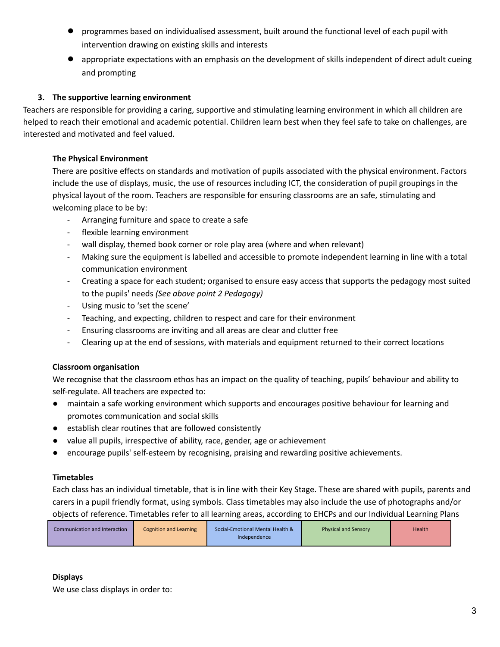- programmes based on individualised assessment, built around the functional level of each pupil with intervention drawing on existing skills and interests
- appropriate expectations with an emphasis on the development of skills independent of direct adult cueing and prompting

# **3. The supportive learning environment**

Teachers are responsible for providing a caring, supportive and stimulating learning environment in which all children are helped to reach their emotional and academic potential. Children learn best when they feel safe to take on challenges, are interested and motivated and feel valued.

# **The Physical Environment**

There are positive effects on standards and motivation of pupils associated with the physical environment. Factors include the use of displays, music, the use of resources including ICT, the consideration of pupil groupings in the physical layout of the room. Teachers are responsible for ensuring classrooms are an safe, stimulating and welcoming place to be by:

- Arranging furniture and space to create a safe
- flexible learning environment
- wall display, themed book corner or role play area (where and when relevant)
- Making sure the equipment is labelled and accessible to promote independent learning in line with a total communication environment
- Creating a space for each student; organised to ensure easy access that supports the pedagogy most suited to the pupils' needs *(See above point 2 Pedagogy)*
- Using music to 'set the scene'
- Teaching, and expecting, children to respect and care for their environment
- Ensuring classrooms are inviting and all areas are clear and clutter free
- Clearing up at the end of sessions, with materials and equipment returned to their correct locations

# **Classroom organisation**

We recognise that the classroom ethos has an impact on the quality of teaching, pupils' behaviour and ability to self-regulate. All teachers are expected to:

- maintain a safe working environment which supports and encourages positive behaviour for learning and promotes communication and social skills
- establish clear routines that are followed consistently
- value all pupils, irrespective of ability, race, gender, age or achievement
- encourage pupils' self-esteem by recognising, praising and rewarding positive achievements.

# **Timetables**

Each class has an individual timetable, that is in line with their Key Stage. These are shared with pupils, parents and carers in a pupil friendly format, using symbols. Class timetables may also include the use of photographs and/or objects of reference. Timetables refer to all learning areas, according to EHCPs and our Individual Learning Plans

# **Displays**

We use class displays in order to: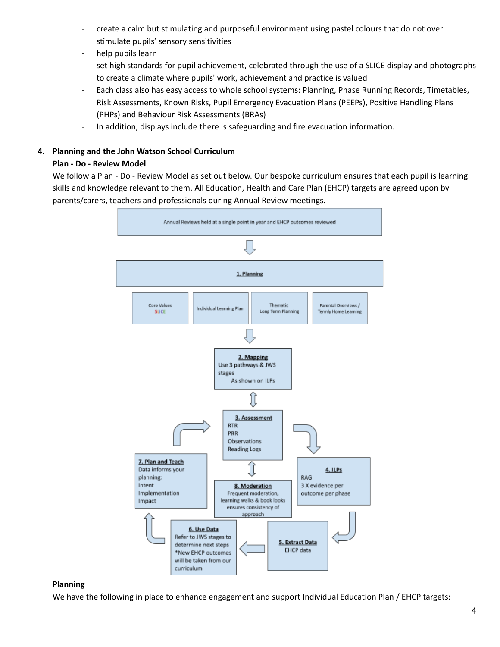- create a calm but stimulating and purposeful environment using pastel colours that do not over stimulate pupils' sensory sensitivities
- help pupils learn
- set high standards for pupil achievement, celebrated through the use of a SLICE display and photographs to create a climate where pupils' work, achievement and practice is valued
- Each class also has easy access to whole school systems: Planning, Phase Running Records, Timetables, Risk Assessments, Known Risks, Pupil Emergency Evacuation Plans (PEEPs), Positive Handling Plans (PHPs) and Behaviour Risk Assessments (BRAs)
- In addition, displays include there is safeguarding and fire evacuation information.

## **4. Planning and the John Watson School Curriculum**

## **Plan - Do - Review Model**

We follow a Plan - Do - Review Model as set out below. Our bespoke curriculum ensures that each pupil is learning skills and knowledge relevant to them. All Education, Health and Care Plan (EHCP) targets are agreed upon by parents/carers, teachers and professionals during Annual Review meetings.



#### **Planning**

We have the following in place to enhance engagement and support Individual Education Plan / EHCP targets: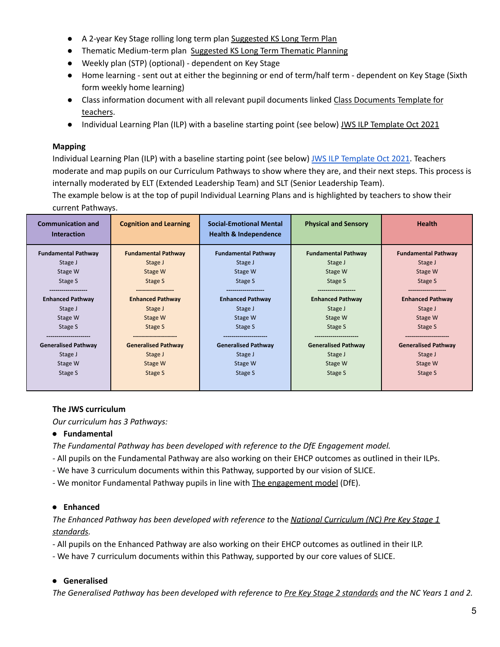- A 2-year Key Stage rolling long term plan [Suggested](https://docs.google.com/document/d/1so8d_CQzao8Re2GgTso6wNA8l8OoAJcB3Fl63CWpCFc/edit) KS Long Term Plan
- Thematic Medium-term plan [Suggested](https://docs.google.com/document/d/1sAxjnaMHWT-a_LPcRU6ekyXXXL3Kfj7NR2QFkeQFZhI/edit) KS Long Term Thematic Planning
- Weekly plan (STP) (optional) dependent on Key Stage
- Home learning sent out at either the beginning or end of term/half term dependent on Key Stage (Sixth form weekly home learning)
- Class information document with all relevant pupil documents linked Class [Documents](https://docs.google.com/document/d/1VTNQbkQqkAZAOxmXSoIfv9FmjspCJH9iR9pW8eTb_8Y/edit) Template for [teachers](https://docs.google.com/document/d/1VTNQbkQqkAZAOxmXSoIfv9FmjspCJH9iR9pW8eTb_8Y/edit).
- Individual Learning Plan (ILP) with a baseline starting point (see below) JWS ILP [Template](https://docs.google.com/document/d/1DgJD5SuP5Y5NsF5fAUPUnNp8gASCywnlT4nhBZbix-A/edit) Oct 2021

# **Mapping**

Individual Learning Plan (ILP) with a baseline starting point (see below) JWS ILP [Template](https://docs.google.com/document/d/1DgJD5SuP5Y5NsF5fAUPUnNp8gASCywnlT4nhBZbix-A/edit) Oct 2021. Teachers moderate and map pupils on our Curriculum Pathways to show where they are, and their next steps. This process is internally moderated by ELT (Extended Leadership Team) and SLT (Senior Leadership Team).

The example below is at the top of pupil Individual Learning Plans and is highlighted by teachers to show their current Pathways.

| <b>Communication and</b><br><b>Interaction</b> | <b>Cognition and Learning</b> | <b>Social-Emotional Mental</b><br><b>Health &amp; Independence</b> | <b>Physical and Sensory</b> | <b>Health</b>              |
|------------------------------------------------|-------------------------------|--------------------------------------------------------------------|-----------------------------|----------------------------|
| <b>Fundamental Pathway</b>                     | <b>Fundamental Pathway</b>    | <b>Fundamental Pathway</b>                                         | <b>Fundamental Pathway</b>  | <b>Fundamental Pathway</b> |
| Stage J                                        | Stage J                       | Stage J                                                            | Stage J                     | Stage J                    |
| Stage W                                        | Stage W                       | Stage W                                                            | Stage W                     | Stage W                    |
| Stage S                                        | Stage S                       | Stage S                                                            | Stage S                     | Stage S                    |
|                                                | --------------                |                                                                    |                             |                            |
| <b>Enhanced Pathway</b>                        | <b>Enhanced Pathway</b>       | <b>Enhanced Pathway</b>                                            | <b>Enhanced Pathway</b>     | <b>Enhanced Pathway</b>    |
| Stage J                                        | Stage J                       | Stage J                                                            | Stage J                     | Stage J                    |
| Stage W                                        | Stage W                       | Stage W                                                            | Stage W                     | Stage W                    |
| Stage S                                        | Stage S                       | Stage S                                                            | Stage S                     | Stage S                    |
|                                                |                               |                                                                    |                             |                            |
| <b>Generalised Pathway</b>                     | <b>Generalised Pathway</b>    | <b>Generalised Pathway</b>                                         | <b>Generalised Pathway</b>  | <b>Generalised Pathway</b> |
| Stage J                                        | Stage J                       | Stage J                                                            | Stage J                     | Stage J                    |
| Stage W                                        | Stage W                       | Stage W                                                            | Stage W                     | Stage W                    |
| Stage S                                        | Stage S                       | Stage S                                                            | Stage S                     | Stage S                    |
|                                                |                               |                                                                    |                             |                            |

# **The JWS curriculum**

*Our curriculum has 3 Pathways:*

# **● Fundamental**

*The Fundamental Pathway has been developed with reference to the DfE Engagement model.*

- All pupils on the Fundamental Pathway are also working on their EHCP outcomes as outlined in their ILPs.
- We have 3 curriculum documents within this Pathway, supported by our vision of SLICE.
- We monitor Fundamental Pathway pupils in line with The [engagement](https://assets.publishing.service.gov.uk/government/uploads/system/uploads/attachment_data/file/903458/Engagement_Model_Guidance_2020.pdf) model (DfE).

# **● Enhanced**

*The Enhanced Pathway has been developed with reference to* the *National [Curriculum](https://www.gov.uk/government/publications/pre-key-stage-1-standards) (NC) Pre Key Stage 1 [standards](https://www.gov.uk/government/publications/pre-key-stage-1-standards).*

- All pupils on the Enhanced Pathway are also working on their EHCP outcomes as outlined in their ILP.

- We have 7 curriculum documents within this Pathway, supported by our core values of SLICE.

# **● Generalised**

The Generalised Pathway has been developed with reference to Pre Key Stage 2 [standards](https://www.gov.uk/government/publications/pre-key-stage-2-standards) and the NC Years 1 and 2.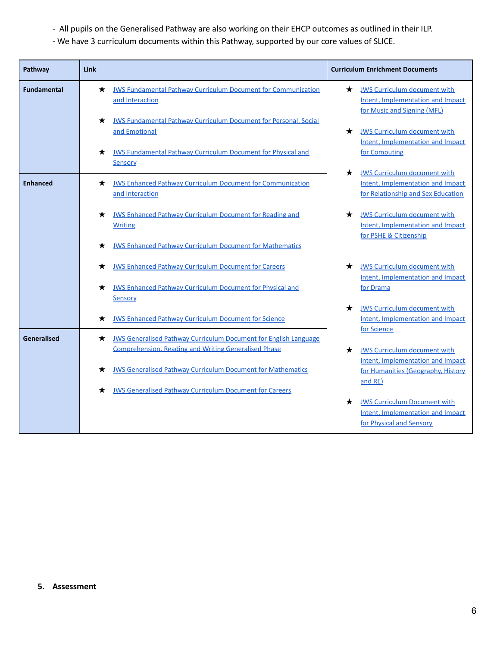- *-* All pupils on the Generalised Pathway are also working on their EHCP outcomes as outlined in their ILP.
- We have 3 curriculum documents within this Pathway, supported by our core values of SLICE.

| Pathway            | Link                                                                                                                                        | <b>Curriculum Enrichment Documents</b>                                                                                    |
|--------------------|---------------------------------------------------------------------------------------------------------------------------------------------|---------------------------------------------------------------------------------------------------------------------------|
| <b>Fundamental</b> | <b>JWS Fundamental Pathway Curriculum Document for Communication</b><br>★<br>and Interaction                                                | $\star$<br><b>JWS Curriculum document with</b><br>Intent. Implementation and Impact<br>for Music and Signing (MFL)        |
|                    | <b>JWS Fundamental Pathway Curriculum Document for Personal, Social</b><br>$\star$<br>and Emotional                                         | <b>JWS Curriculum document with</b><br>★<br>Intent, Implementation and Impact                                             |
|                    | <b>JWS Fundamental Pathway Curriculum Document for Physical and</b><br>*<br>Sensory                                                         | for Computing                                                                                                             |
| <b>Enhanced</b>    | <b>JWS Enhanced Pathway Curriculum Document for Communication</b><br>*<br>and Interaction                                                   | <b>JWS Curriculum document with</b><br>$\star$<br>Intent, Implementation and Impact<br>for Relationship and Sex Education |
|                    | <b>JWS Enhanced Pathway Curriculum Document for Reading and</b><br>★<br><b>Writing</b>                                                      | <b>JWS Curriculum document with</b><br>★<br>Intent. Implementation and Impact<br>for PSHE & Citizenship                   |
|                    | <b>JWS Enhanced Pathway Curriculum Document for Mathematics</b>                                                                             |                                                                                                                           |
|                    | <b>JWS Enhanced Pathway Curriculum Document for Careers</b>                                                                                 | <b>JWS Curriculum document with</b><br>*<br>Intent, Implementation and Impact                                             |
|                    | <b>JWS Enhanced Pathway Curriculum Document for Physical and</b><br>*<br><u>Sensory</u>                                                     | for Drama                                                                                                                 |
|                    | <b>JWS Enhanced Pathway Curriculum Document for Science</b><br>★                                                                            | <b>JWS Curriculum document with</b><br>*<br>Intent, Implementation and Impact<br>for Science                              |
| Generalised        | <b>JWS Generalised Pathway Curriculum Document for English Language</b><br>*<br><b>Comprehension, Reading and Writing Generalised Phase</b> | <b>JWS Curriculum document with</b><br>★                                                                                  |
|                    | <b>JWS Generalised Pathway Curriculum Document for Mathematics</b><br>★                                                                     | Intent, Implementation and Impact<br>for Humanities (Geography, History<br>and RE)                                        |
|                    | <b>JWS Generalised Pathway Curriculum Document for Careers</b>                                                                              | <b>JWS Curriculum Document with</b><br>*<br>Intent. Implementation and Impact<br>for Physical and Sensory                 |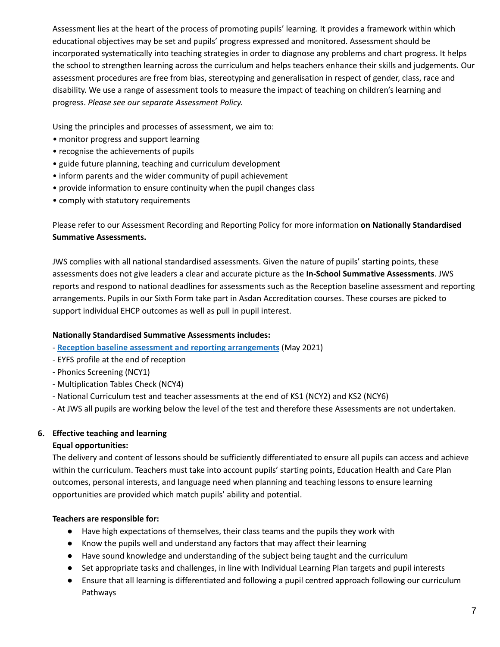Assessment lies at the heart of the process of promoting pupils' learning. It provides a framework within which educational objectives may be set and pupils' progress expressed and monitored. Assessment should be incorporated systematically into teaching strategies in order to diagnose any problems and chart progress. It helps the school to strengthen learning across the curriculum and helps teachers enhance their skills and judgements. Our assessment procedures are free from bias, stereotyping and generalisation in respect of gender, class, race and disability. We use a range of assessment tools to measure the impact of teaching on children's learning and progress. *Please see our separate Assessment Policy.*

Using the principles and processes of assessment, we aim to:

- *•* monitor progress and support learning
- recognise the achievements of pupils
- guide future planning, teaching and curriculum development
- inform parents and the wider community of pupil achievement
- provide information to ensure continuity when the pupil changes class
- comply with statutory requirements

Please refer to our Assessment Recording and Reporting Policy for more information **on Nationally Standardised Summative Assessments.**

JWS complies with all national standardised assessments. Given the nature of pupils' starting points, these assessments does not give leaders a clear and accurate picture as the **In-School Summative Assessments**. JWS reports and respond to national deadlines for assessments such as the Reception baseline assessment and reporting arrangements. Pupils in our Sixth Form take part in Asdan Accreditation courses. These courses are picked to support individual EHCP outcomes as well as pull in pupil interest.

# **Nationally Standardised Summative Assessments includes:**

- **Reception baseline assessment and reporting [arrangements](https://assets.publishing.service.gov.uk/government/uploads/system/uploads/attachment_data/file/1018000/Reception_baseline_assessment_and_reporting_arrangements_v3.pdf)** (May 2021)
- EYFS profile at the end of reception
- Phonics Screening (NCY1)
- Multiplication Tables Check (NCY4)
- National Curriculum test and teacher assessments at the end of KS1 (NCY2) and KS2 (NCY6)
- At JWS all pupils are working below the level of the test and therefore these Assessments are not undertaken.

# **6. Effective teaching and learning**

#### **Equal opportunities:**

The delivery and content of lessons should be sufficiently differentiated to ensure all pupils can access and achieve within the curriculum. Teachers must take into account pupils' starting points, Education Health and Care Plan outcomes, personal interests, and language need when planning and teaching lessons to ensure learning opportunities are provided which match pupils' ability and potential.

# **Teachers are responsible for:**

- Have high expectations of themselves, their class teams and the pupils they work with
- Know the pupils well and understand any factors that may affect their learning
- Have sound knowledge and understanding of the subject being taught and the curriculum
- Set appropriate tasks and challenges, in line with Individual Learning Plan targets and pupil interests
- Ensure that all learning is differentiated and following a pupil centred approach following our curriculum Pathways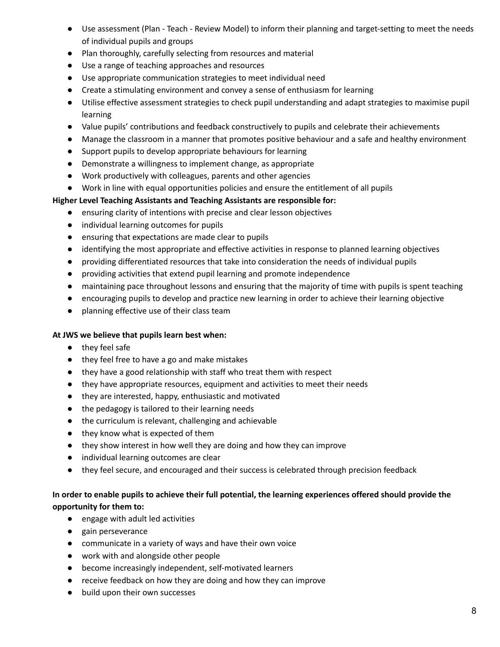- Use assessment (Plan Teach Review Model) to inform their planning and target-setting to meet the needs of individual pupils and groups
- Plan thoroughly, carefully selecting from resources and material
- Use a range of teaching approaches and resources
- Use appropriate communication strategies to meet individual need
- Create a stimulating environment and convey a sense of enthusiasm for learning
- Utilise effective assessment strategies to check pupil understanding and adapt strategies to maximise pupil learning
- Value pupils' contributions and feedback constructively to pupils and celebrate their achievements
- Manage the classroom in a manner that promotes positive behaviour and a safe and healthy environment
- Support pupils to develop appropriate behaviours for learning
- Demonstrate a willingness to implement change, as appropriate
- Work productively with colleagues, parents and other agencies
- Work in line with equal opportunities policies and ensure the entitlement of all pupils

# **Higher Level Teaching Assistants and Teaching Assistants are responsible for:**

- ensuring clarity of intentions with precise and clear lesson objectives
- individual learning outcomes for pupils
- ensuring that expectations are made clear to pupils
- identifying the most appropriate and effective activities in response to planned learning objectives
- providing differentiated resources that take into consideration the needs of individual pupils
- providing activities that extend pupil learning and promote independence
- maintaining pace throughout lessons and ensuring that the majority of time with pupils is spent teaching
- encouraging pupils to develop and practice new learning in order to achieve their learning objective
- planning effective use of their class team

# **At JWS we believe that pupils learn best when:**

- they feel safe
- they feel free to have a go and make mistakes
- they have a good relationship with staff who treat them with respect
- they have appropriate resources, equipment and activities to meet their needs
- they are interested, happy, enthusiastic and motivated
- the pedagogy is tailored to their learning needs
- the curriculum is relevant, challenging and achievable
- they know what is expected of them
- they show interest in how well they are doing and how they can improve
- individual learning outcomes are clear
- they feel secure, and encouraged and their success is celebrated through precision feedback

# In order to enable pupils to achieve their full potential, the learning experiences offered should provide the **opportunity for them to:**

- engage with adult led activities
- gain perseverance
- communicate in a variety of ways and have their own voice
- work with and alongside other people
- become increasingly independent, self-motivated learners
- receive feedback on how they are doing and how they can improve
- build upon their own successes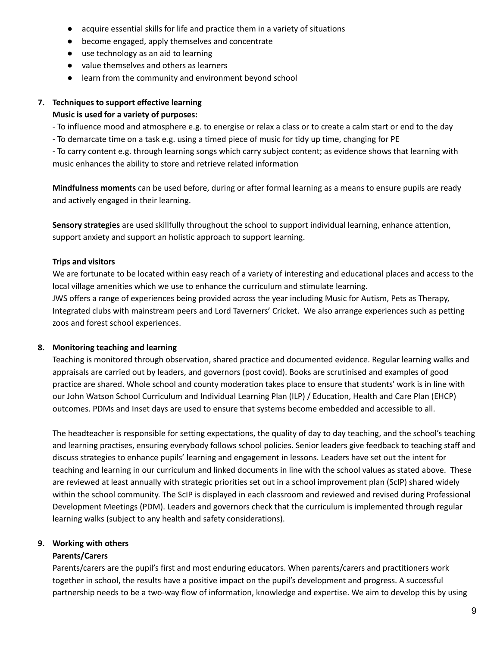- acquire essential skills for life and practice them in a variety of situations
- become engaged, apply themselves and concentrate
- use technology as an aid to learning
- value themselves and others as learners
- learn from the community and environment beyond school

# **7. Techniques to support effective learning**

## **Music is used for a variety of purposes:**

- To influence mood and atmosphere e.g. to energise or relax a class or to create a calm start or end to the day

- To demarcate time on a task e.g. using a timed piece of music for tidy up time, changing for PE

- To carry content e.g. through learning songs which carry subject content; as evidence shows that learning with music enhances the ability to store and retrieve related information

**Mindfulness moments** can be used before, during or after formal learning as a means to ensure pupils are ready and actively engaged in their learning.

**Sensory strategies** are used skillfully throughout the school to support individual learning, enhance attention, support anxiety and support an holistic approach to support learning.

## **Trips and visitors**

We are fortunate to be located within easy reach of a variety of interesting and educational places and access to the local village amenities which we use to enhance the curriculum and stimulate learning.

JWS offers a range of experiences being provided across the year including Music for Autism, Pets as Therapy, Integrated clubs with mainstream peers and Lord Taverners' Cricket. We also arrange experiences such as petting zoos and forest school experiences.

# **8. Monitoring teaching and learning**

Teaching is monitored through observation, shared practice and documented evidence. Regular learning walks and appraisals are carried out by leaders, and governors (post covid). Books are scrutinised and examples of good practice are shared. Whole school and county moderation takes place to ensure that students' work is in line with our John Watson School Curriculum and Individual Learning Plan (ILP) / Education, Health and Care Plan (EHCP) outcomes. PDMs and Inset days are used to ensure that systems become embedded and accessible to all.

The headteacher is responsible for setting expectations, the quality of day to day teaching, and the school's teaching and learning practises, ensuring everybody follows school policies. Senior leaders give feedback to teaching staff and discuss strategies to enhance pupils' learning and engagement in lessons. Leaders have set out the intent for teaching and learning in our curriculum and linked documents in line with the school values as stated above. These are reviewed at least annually with strategic priorities set out in a school improvement plan (ScIP) shared widely within the school community. The ScIP is displayed in each classroom and reviewed and revised during Professional Development Meetings (PDM). Leaders and governors check that the curriculum is implemented through regular learning walks (subject to any health and safety considerations).

# **9. Working with others**

# **Parents/Carers**

Parents/carers are the pupil's first and most enduring educators. When parents/carers and practitioners work together in school, the results have a positive impact on the pupil's development and progress. A successful partnership needs to be a two-way flow of information, knowledge and expertise. We aim to develop this by using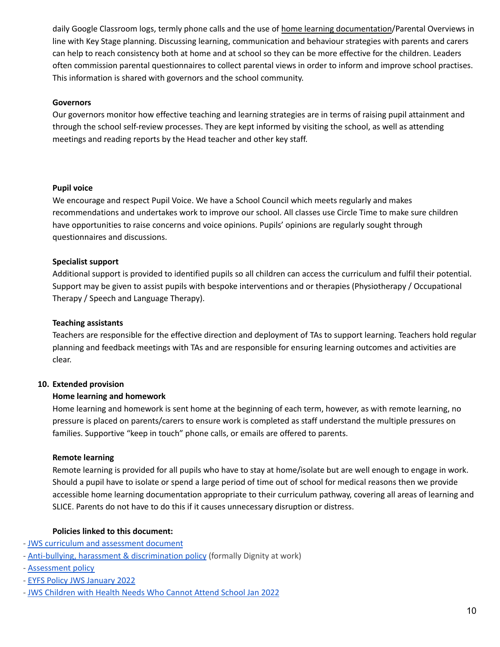daily Google Classroom logs, termly phone calls and the use of home learning [documentation](https://docs.google.com/document/d/1GqE6F5nLZk0cndYwfBM5RsLEPmmRJqdSF9rlxycG8T4/edit)/Parental Overviews in line with Key Stage planning. Discussing learning, communication and behaviour strategies with parents and carers can help to reach consistency both at home and at school so they can be more effective for the children. Leaders often commission parental questionnaires to collect parental views in order to inform and improve school practises. This information is shared with governors and the school community.

#### **Governors**

Our governors monitor how effective teaching and learning strategies are in terms of raising pupil attainment and through the school self-review processes. They are kept informed by visiting the school, as well as attending meetings and reading reports by the Head teacher and other key staff.

## **Pupil voice**

We encourage and respect Pupil Voice. We have a School Council which meets regularly and makes recommendations and undertakes work to improve our school. All classes use Circle Time to make sure children have opportunities to raise concerns and voice opinions. Pupils' opinions are regularly sought through questionnaires and discussions.

## **Specialist support**

Additional support is provided to identified pupils so all children can access the curriculum and fulfil their potential. Support may be given to assist pupils with bespoke interventions and or therapies (Physiotherapy / Occupational Therapy / Speech and Language Therapy).

## **Teaching assistants**

Teachers are responsible for the effective direction and deployment of TAs to support learning. Teachers hold regular planning and feedback meetings with TAs and are responsible for ensuring learning outcomes and activities are clear.

# **10. Extended provision**

# **Home learning and homework**

Home learning and homework is sent home at the beginning of each term, however, as with remote learning, no pressure is placed on parents/carers to ensure work is completed as staff understand the multiple pressures on families. Supportive "keep in touch" phone calls, or emails are offered to parents.

#### **Remote learning**

Remote learning is provided for all pupils who have to stay at home/isolate but are well enough to engage in work. Should a pupil have to isolate or spend a large period of time out of school for medical reasons then we provide accessible home learning documentation appropriate to their curriculum pathway, covering all areas of learning and SLICE. Parents do not have to do this if it causes unnecessary disruption or distress.

#### **Policies linked to this document:**

- JWS curriculum and [assessment](https://docs.google.com/document/d/1GrIbFQXVowrrNKYe-xmdG-qVMeGvunl6eRyTNdxB_w4/edit?usp=sharing) document
- Anti-bullying, harassment & [discrimination](https://docs.google.com/document/d/1XrYZUlUmBr5Ct2QG5ZKHYH7Kfdv-LR7QB-g33-rvq1c/edit) policy (formally Dignity at work)
- [Assessment](https://docs.google.com/document/d/1b-6j5bfn9EQk1hadY0Zchk9VveagRcs87LWxqQYYMbs/edit?usp=sharing) policy
- EYFS Policy JWS [January](https://docs.google.com/document/d/1EH-Ktjrv5QhrxxNEoIJlgtuOdh5ghq3SANmToSCfMhI/edit) 2022
- JWS [Children](https://docs.google.com/document/d/1wJ4ZH1s_wypaVY6hxApdVhAkdpSbKycWJuLcko_fxmE/edit) with Health Needs Who Cannot Attend School Jan 2022